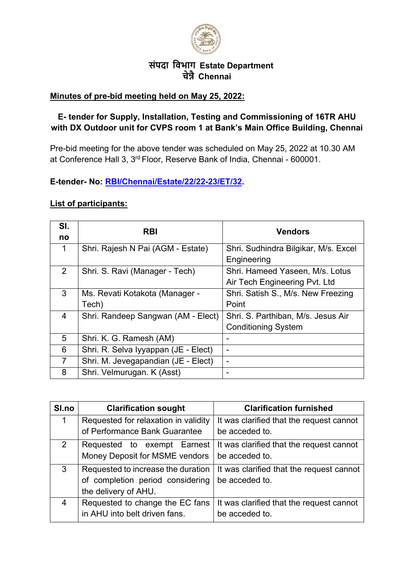

# **संपदा िवभाग Estate Department चे�ै Chennai**

#### **Minutes of pre-bid meeting held on May 25, 2022:**

## **E- tender for Supply, Installation, Testing and Commissioning of 16TR AHU with DX Outdoor unit for CVPS room 1 at Bank's Main Office Building, Chennai**

Pre-bid meeting for the above tender was scheduled on May 25, 2022 at 10.30 AM at Conference Hall 3, 3rd Floor, Reserve Bank of India, Chennai - 600001.

## **E-tender- No: [RBI/Chennai/Estate/22/22-23/ET/32.](https://rbi.org.in/Scripts/BS_ViewTenders.aspx?Id=6455)**

#### **List of participants:**

| SI.            | <b>RBI</b>                           | <b>Vendors</b>                       |
|----------------|--------------------------------------|--------------------------------------|
| no             |                                      |                                      |
| 1              | Shri. Rajesh N Pai (AGM - Estate)    | Shri. Sudhindra Bilgikar, M/s. Excel |
|                |                                      | Engineering                          |
| 2              | Shri. S. Ravi (Manager - Tech)       | Shri. Hameed Yaseen, M/s. Lotus      |
|                |                                      | Air Tech Engineering Pvt. Ltd        |
| 3              | Ms. Revati Kotakota (Manager -       | Shri. Satish S., M/s. New Freezing   |
|                | Tech)                                | Point                                |
| 4              | Shri. Randeep Sangwan (AM - Elect)   | Shri. S. Parthiban, M/s. Jesus Air   |
|                |                                      | <b>Conditioning System</b>           |
| 5              | Shri. K. G. Ramesh (AM)              |                                      |
| 6              | Shri. R. Selva Iyyappan (JE - Elect) | $\overline{\phantom{0}}$             |
| $\overline{7}$ | Shri. M. Jevegapandian (JE - Elect)  | ٠                                    |
| 8              | Shri. Velmurugan. K (Asst)           |                                      |

| SI.no | <b>Clarification sought</b>          | <b>Clarification furnished</b>           |
|-------|--------------------------------------|------------------------------------------|
|       | Requested for relaxation in validity | It was clarified that the request cannot |
|       | of Performance Bank Guarantee        | be acceded to.                           |
| 2     | Requested to exempt Earnest          | It was clarified that the request cannot |
|       | Money Deposit for MSME vendors       | be acceded to.                           |
| 3     | Requested to increase the duration   | It was clarified that the request cannot |
|       | of completion period considering     | be acceded to.                           |
|       | the delivery of AHU.                 |                                          |
| 4     | Requested to change the EC fans      | It was clarified that the request cannot |
|       | in AHU into belt driven fans.        | be acceded to.                           |